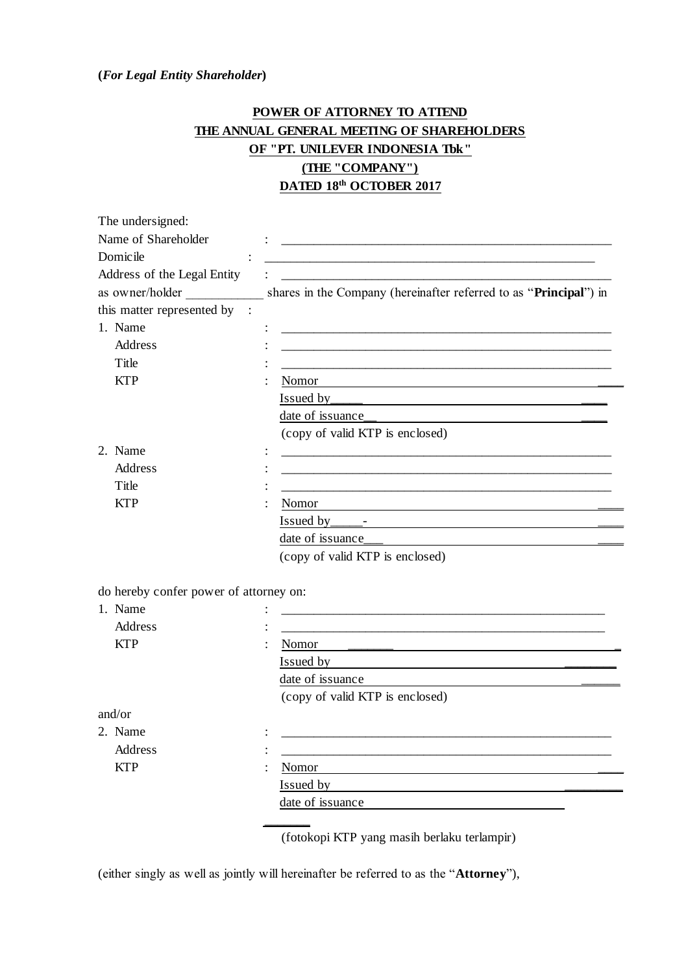## **(***For Legal Entity Shareholder***)**

## **POWER OF ATTORNEY TO ATTEND THE ANNUAL GENERAL MEETING OF SHAREHOLDERS OF "PT. UNILEVER INDONESIA Tbk" (THE "COMPANY") DATED 18th OCTOBER 2017**

| The undersigned:                       |                                                                                                                                     |
|----------------------------------------|-------------------------------------------------------------------------------------------------------------------------------------|
| Name of Shareholder                    |                                                                                                                                     |
| Domicile                               |                                                                                                                                     |
| Address of the Legal Entity            |                                                                                                                                     |
| as owner/holder                        | shares in the Company (hereinafter referred to as "Principal") in                                                                   |
| this matter represented by             |                                                                                                                                     |
| 1. Name                                |                                                                                                                                     |
| <b>Address</b>                         |                                                                                                                                     |
| Title                                  |                                                                                                                                     |
| <b>KTP</b>                             | Nomor                                                                                                                               |
|                                        | Issued by<br><u> 1989 - Johann John Stein, markin sanadi a shekara ta 1989 - An tsa markin sa shekara ta 1989 - An tsa markin</u>   |
|                                        | date of issuance_                                                                                                                   |
|                                        | (copy of valid KTP is enclosed)                                                                                                     |
| 2. Name                                |                                                                                                                                     |
| Address                                |                                                                                                                                     |
| Title                                  |                                                                                                                                     |
| <b>KTP</b>                             | Nomor                                                                                                                               |
|                                        |                                                                                                                                     |
|                                        | date of issuance_                                                                                                                   |
|                                        | (copy of valid KTP is enclosed)                                                                                                     |
| do hereby confer power of attorney on: |                                                                                                                                     |
| 1. Name                                |                                                                                                                                     |
| Address                                |                                                                                                                                     |
| <b>KTP</b>                             | Nomor<br><u> 1989 - Jan James James Jan James James James James James James James James James James James James James Jam</u>       |
|                                        | Issued by<br><u> 1989 - Andrea State Barbara, ann an t-Ann an t-Ann an t-Ann an t-Ann an t-Ann an t-Ann an t-Ann an t-Ann an t-</u> |
|                                        | date of issuance                                                                                                                    |
|                                        | (copy of valid KTP is enclosed)                                                                                                     |
| and/or                                 |                                                                                                                                     |
| 2. Name                                |                                                                                                                                     |
| Address                                |                                                                                                                                     |
| <b>KTP</b>                             | Nomor                                                                                                                               |
|                                        | Issued by                                                                                                                           |
|                                        | date of issuance                                                                                                                    |
|                                        |                                                                                                                                     |

(fotokopi KTP yang masih berlaku terlampir)

(either singly as well as jointly will hereinafter be referred to as the "**Attorney**"),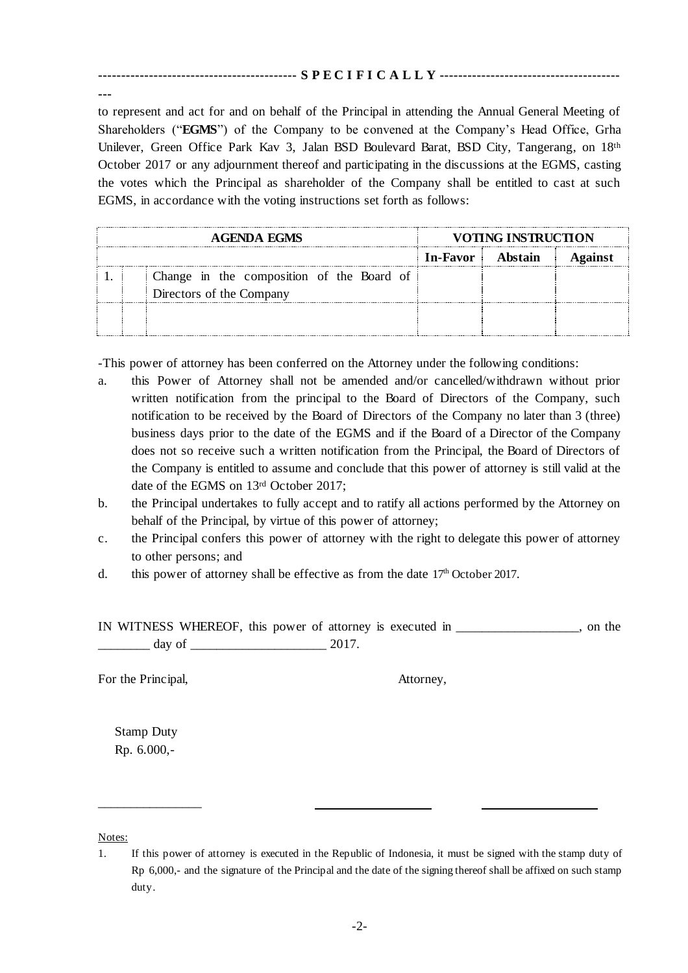## **------------------------------------------- S P E C I F I C A L L Y ---------------------------------------**

**---**

to represent and act for and on behalf of the Principal in attending the Annual General Meeting of Shareholders ("**EGMS**") of the Company to be convened at the Company's Head Office, Grha Unilever, Green Office Park Kav 3, Jalan BSD Boulevard Barat, BSD City, Tangerang, on 18th October 2017 or any adjournment thereof and participating in the discussions at the EGMS, casting the votes which the Principal as shareholder of the Company shall be entitled to cast at such EGMS, in accordance with the voting instructions set forth as follows:

| <b>AGENDA EGMS</b> |  |                                           | VOTING INSTRUCTION |  |         |
|--------------------|--|-------------------------------------------|--------------------|--|---------|
|                    |  |                                           | In-Favor Abstain   |  | Against |
|                    |  | Change in the composition of the Board of |                    |  |         |
|                    |  | Directors of the Company                  |                    |  |         |
|                    |  |                                           |                    |  |         |
|                    |  |                                           |                    |  |         |

-This power of attorney has been conferred on the Attorney under the following conditions:

- a. this Power of Attorney shall not be amended and/or cancelled/withdrawn without prior written notification from the principal to the Board of Directors of the Company, such notification to be received by the Board of Directors of the Company no later than 3 (three) business days prior to the date of the EGMS and if the Board of a Director of the Company does not so receive such a written notification from the Principal, the Board of Directors of the Company is entitled to assume and conclude that this power of attorney is still valid at the date of the EGMS on 13rd October 2017;
- b. the Principal undertakes to fully accept and to ratify all actions performed by the Attorney on behalf of the Principal, by virtue of this power of attorney;
- c. the Principal confers this power of attorney with the right to delegate this power of attorney to other persons; and
- d. this power of attorney shall be effective as from the date  $17<sup>th</sup>$  October 2017.

IN WITNESS WHEREOF, this power of attorney is executed in \_\_\_\_\_\_\_\_\_\_\_\_\_\_\_\_\_\_\_, on the  $\frac{day}{x}$  of  $\frac{2017}{x}$ 

For the Principal,  $\blacksquare$  Attorney,

Stamp Duty Rp. 6.000,-

\_\_\_\_\_\_\_\_\_\_\_\_\_\_\_\_

Notes:

<sup>1.</sup> If this power of attorney is executed in the Republic of Indonesia, it must be signed with the stamp duty of Rp 6,000,- and the signature of the Principal and the date of the signing thereof shall be affixed on such stamp duty.